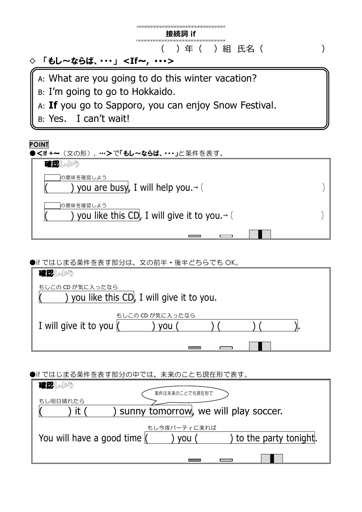

●if ではじまる条件を表す部分は、文の前半·後半どちらでもOK。

| 確認しよう                                                        |  |  |  |  |
|--------------------------------------------------------------|--|--|--|--|
| もしこの CD が気に入ったなら<br>you like this CD, I will give it to you. |  |  |  |  |
| もしこの CD が気に入ったなら                                             |  |  |  |  |
| I will give it to you $\mathcal{I}$<br><b>VOU</b>            |  |  |  |  |
|                                                              |  |  |  |  |

●if ではじまる条件を表す部分の中では、未来のことも現在形で表す。

| 確認しよう                       |                                      |                       |  |
|-----------------------------|--------------------------------------|-----------------------|--|
| もし明日晴れたら                    | 条件は未来のことでも現在形で                       |                       |  |
| it                          | sunny tomorrow, we will play soccer. |                       |  |
| もし今夜パーティに来れば                |                                      |                       |  |
| You will have a good time ( | <b>VOU</b>                           | to the party tonight. |  |
|                             |                                      |                       |  |
|                             |                                      |                       |  |